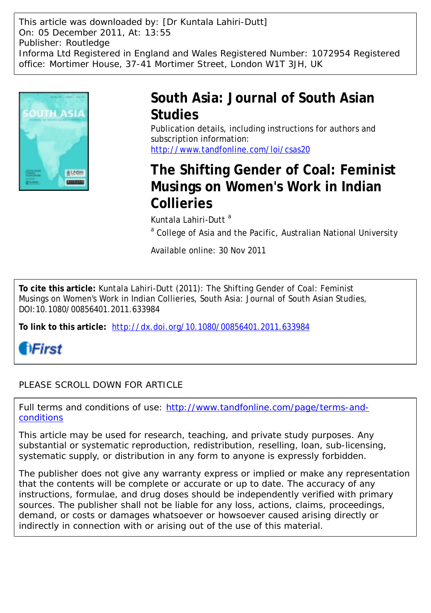This article was downloaded by: [Dr Kuntala Lahiri-Dutt] On: 05 December 2011, At: 13:55 Publisher: Routledge Informa Ltd Registered in England and Wales Registered Number: 1072954 Registered office: Mortimer House, 37-41 Mortimer Street, London W1T 3JH, UK



## **South Asia: Journal of South Asian Studies**

Publication details, including instructions for authors and subscription information: <http://www.tandfonline.com/loi/csas20>

# **The Shifting Gender of Coal: Feminist Musings on Women's Work in Indian Collieries**

Kuntala Lahiri-Dutt<sup>a</sup>

<sup>a</sup> College of Asia and the Pacific, Australian National University

Available online: 30 Nov 2011

**To cite this article:** Kuntala Lahiri-Dutt (2011): The Shifting Gender of Coal: Feminist Musings on Women's Work in Indian Collieries, South Asia: Journal of South Asian Studies, DOI:10.1080/00856401.2011.633984

**To link to this article:** <http://dx.doi.org/10.1080/00856401.2011.633984>

**fiFirst** 

PLEASE SCROLL DOWN FOR ARTICLE

Full terms and conditions of use: [http://www.tandfonline.com/page/terms-and](http://www.tandfonline.com/page/terms-and-conditions)[conditions](http://www.tandfonline.com/page/terms-and-conditions)

This article may be used for research, teaching, and private study purposes. Any substantial or systematic reproduction, redistribution, reselling, loan, sub-licensing, systematic supply, or distribution in any form to anyone is expressly forbidden.

The publisher does not give any warranty express or implied or make any representation that the contents will be complete or accurate or up to date. The accuracy of any instructions, formulae, and drug doses should be independently verified with primary sources. The publisher shall not be liable for any loss, actions, claims, proceedings, demand, or costs or damages whatsoever or howsoever caused arising directly or indirectly in connection with or arising out of the use of this material.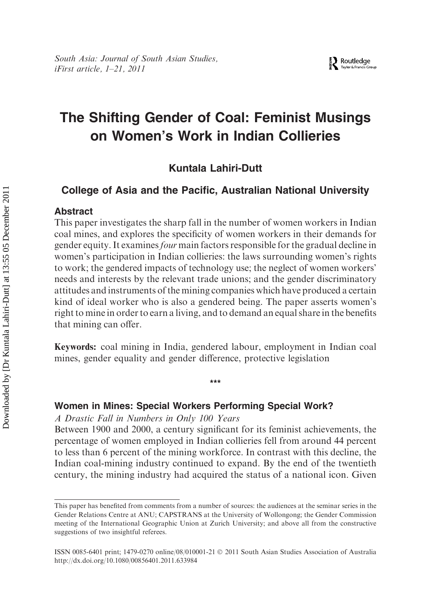## **A** Routledge

# The Shifting Gender of Coal: Feminist Musings on Women's Work in Indian Collieries

## Kuntala Lahiri-Dutt

## College of Asia and the Pacific, Australian National University

### **Abstract**

This paper investigates the sharp fall in the number of women workers in Indian coal mines, and explores the specificity of women workers in their demands for gender equity. It examines four main factors responsible for the gradual decline in women's participation in Indian collieries: the laws surrounding women's rights to work; the gendered impacts of technology use; the neglect of women workers' needs and interests by the relevant trade unions; and the gender discriminatory attitudes and instruments of the mining companies which have produced a certain kind of ideal worker who is also a gendered being. The paper asserts women's right to mine in order to earn a living, and to demand an equal share in the benefits that mining can offer.

Keywords: coal mining in India, gendered labour, employment in Indian coal mines, gender equality and gender difference, protective legislation

\*\*\*

### Women in Mines: Special Workers Performing Special Work?

A Drastic Fall in Numbers in Only 100 Years

Between 1900 and 2000, a century significant for its feminist achievements, the percentage of women employed in Indian collieries fell from around 44 percent to less than 6 percent of the mining workforce. In contrast with this decline, the Indian coal-mining industry continued to expand. By the end of the twentieth century, the mining industry had acquired the status of a national icon. Given

This paper has benefited from comments from a number of sources: the audiences at the seminar series in the Gender Relations Centre at ANU; CAPSTRANS at the University of Wollongong; the Gender Commission meeting of the International Geographic Union at Zurich University; and above all from the constructive suggestions of two insightful referees.

ISSN 0085-6401 print; 1479-0270 online/08/010001-21 © 2011 South Asian Studies Association of Australia http://dx.doi.org/10.1080/00856401.2011.633984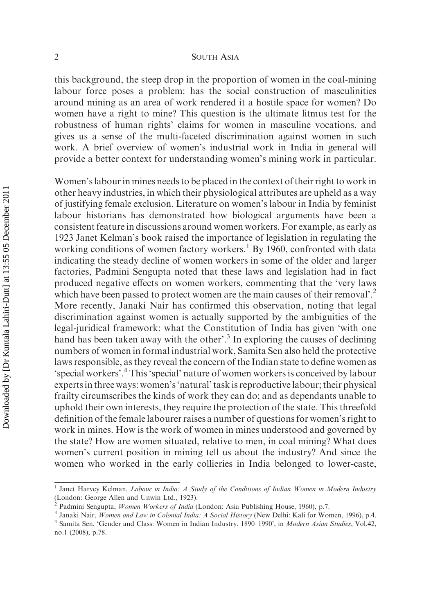this background, the steep drop in the proportion of women in the coal-mining labour force poses a problem: has the social construction of masculinities around mining as an area of work rendered it a hostile space for women? Do women have a right to mine? This question is the ultimate litmus test for the robustness of human rights' claims for women in masculine vocations, and gives us a sense of the multi-faceted discrimination against women in such work. A brief overview of women's industrial work in India in general will provide a better context for understanding women's mining work in particular.

Women's labour in mines needs to be placed in the context of their right to work in other heavy industries, in which their physiological attributes are upheld as a way of justifying female exclusion. Literature on women's labour in India by feminist labour historians has demonstrated how biological arguments have been a consistent feature in discussions around women workers. For example, as early as 1923 Janet Kelman's book raised the importance of legislation in regulating the working conditions of women factory workers.<sup>1</sup> By 1960, confronted with data indicating the steady decline of women workers in some of the older and larger factories, Padmini Sengupta noted that these laws and legislation had in fact produced negative effects on women workers, commenting that the 'very laws which have been passed to protect women are the main causes of their removal'.<sup>2</sup> More recently, Janaki Nair has confirmed this observation, noting that legal discrimination against women is actually supported by the ambiguities of the legal-juridical framework: what the Constitution of India has given 'with one hand has been taken away with the other'.<sup>3</sup> In exploring the causes of declining numbers of women in formal industrial work, Samita Sen also held the protective laws responsible, as they reveal the concern of the Indian state to define women as 'special workers'.4 This 'special' nature of women workers is conceived by labour experts in three ways: women's 'natural' task is reproductive labour; their physical frailty circumscribes the kinds of work they can do; and as dependants unable to uphold their own interests, they require the protection of the state. This threefold definition of the female labourer raises a number of questions for women's right to work in mines. How is the work of women in mines understood and governed by the state? How are women situated, relative to men, in coal mining? What does women's current position in mining tell us about the industry? And since the women who worked in the early collieries in India belonged to lower-caste,

<sup>&</sup>lt;sup>1</sup> Janet Harvey Kelman, Labour in India: A Study of the Conditions of Indian Women in Modern Industry (London: George Allen and Unwin Ltd., 1923).<br><sup>2</sup> Padmini Sengupta, *Women Workers of India* (London: Asia Publishing House, 1960), p.7.

<sup>&</sup>lt;sup>3</sup> Janaki Nair, *Women and Law in Colonial India: A Social History* (New Delhi: Kali for Women, 1996), p.4.<br><sup>4</sup> Samita Sen, 'Gender and Class: Women in Indian Industry, 1890–1990', in *Modern Asian Studies*, Vol.42, no.1 (2008), p.78.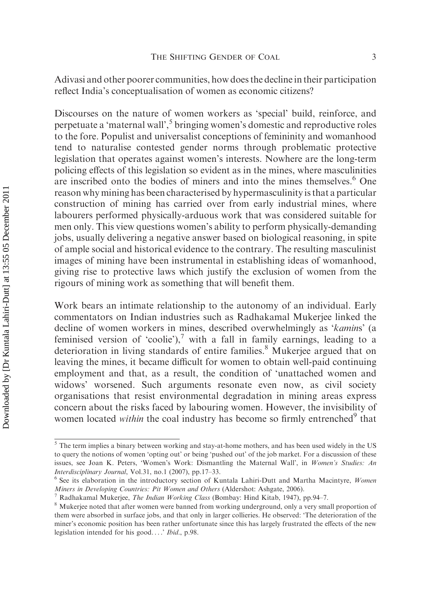Adivasi and other poorer communities, how does the decline in their participation reflect India's conceptualisation of women as economic citizens?

Discourses on the nature of women workers as 'special' build, reinforce, and perpetuate a 'maternal wall',<sup>5</sup> bringing women's domestic and reproductive roles to the fore. Populist and universalist conceptions of femininity and womanhood tend to naturalise contested gender norms through problematic protective legislation that operates against women's interests. Nowhere are the long-term policing effects of this legislation so evident as in the mines, where masculinities are inscribed onto the bodies of miners and into the mines themselves.<sup>6</sup> One reason why mining has been characterised by hypermasculinity is that a particular construction of mining has carried over from early industrial mines, where labourers performed physically-arduous work that was considered suitable for men only. This view questions women's ability to perform physically-demanding jobs, usually delivering a negative answer based on biological reasoning, in spite of ample social and historical evidence to the contrary. The resulting masculinist images of mining have been instrumental in establishing ideas of womanhood, giving rise to protective laws which justify the exclusion of women from the rigours of mining work as something that will benefit them.

Work bears an intimate relationship to the autonomy of an individual. Early commentators on Indian industries such as Radhakamal Mukerjee linked the decline of women workers in mines, described overwhelmingly as 'kamins' (a feminised version of 'coolie'),<sup>7</sup> with a fall in family earnings, leading to a deterioration in living standards of entire families.<sup>8</sup> Mukerjee argued that on leaving the mines, it became difficult for women to obtain well-paid continuing employment and that, as a result, the condition of 'unattached women and widows' worsened. Such arguments resonate even now, as civil society organisations that resist environmental degradation in mining areas express concern about the risks faced by labouring women. However, the invisibility of women located *within* the coal industry has become so firmly entrenched<sup>9</sup> that

<sup>&</sup>lt;sup>5</sup> The term implies a binary between working and stay-at-home mothers, and has been used widely in the US to query the notions of women 'opting out' or being 'pushed out' of the job market. For a discussion of these issues, see Joan K. Peters, 'Women's Work: Dismantling the Maternal Wall', in Women's Studies: An Interdisciplinary Journal, Vol.31, no.1 (2007), pp.17–33.<br><sup>6</sup> See its elaboration in the introductory section of Kuntala Lahiri-Dutt and Martha Macintyre, *Women* 

Miners in Developing Countries: Pit Women and Others (Aldershot: Ashgate, 2006).<br><sup>7</sup> Radhakamal Mukerjee, *The Indian Working Class* (Bombay: Hind Kitab, 1947), pp.94–7.

 $8$  Mukerjee noted that after women were banned from working underground, only a very small proportion of them were absorbed in surface jobs, and that only in larger collieries. He observed: 'The deterioration of the miner's economic position has been rather unfortunate since this has largely frustrated the effects of the new legislation intended for his good....' Ibid., p.98.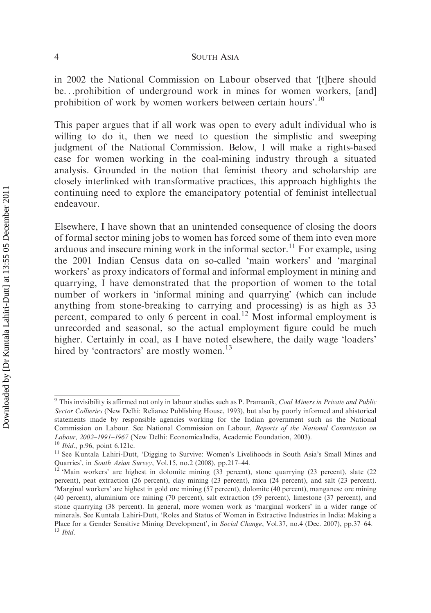in 2002 the National Commission on Labour observed that '[t]here should be...prohibition of underground work in mines for women workers, [and] prohibition of work by women workers between certain hours'.<sup>10</sup>

This paper argues that if all work was open to every adult individual who is willing to do it, then we need to question the simplistic and sweeping judgment of the National Commission. Below, I will make a rights-based case for women working in the coal-mining industry through a situated analysis. Grounded in the notion that feminist theory and scholarship are closely interlinked with transformative practices, this approach highlights the continuing need to explore the emancipatory potential of feminist intellectual endeavour.

Elsewhere, I have shown that an unintended consequence of closing the doors of formal sector mining jobs to women has forced some of them into even more arduous and insecure mining work in the informal sector.<sup>11</sup> For example, using the 2001 Indian Census data on so-called 'main workers' and 'marginal workers' as proxy indicators of formal and informal employment in mining and quarrying, I have demonstrated that the proportion of women to the total number of workers in 'informal mining and quarrying' (which can include anything from stone-breaking to carrying and processing) is as high as 33 percent, compared to only 6 percent in coal.<sup>12</sup> Most informal employment is unrecorded and seasonal, so the actual employment figure could be much higher. Certainly in coal, as I have noted elsewhere, the daily wage 'loaders' hired by 'contractors' are mostly women.<sup>13</sup>

 $9$  This invisibility is affirmed not only in labour studies such as P. Pramanik, Coal Miners in Private and Public Sector Collieries (New Delhi: Reliance Publishing House, 1993), but also by poorly informed and ahistorical statements made by responsible agencies working for the Indian government such as the National Commission on Labour. See National Commission on Labour, Reports of the National Commission on Labour, 2002–1991–1967 (New Delhi: EconomicaIndia, Academic Foundation, 2003).<br><sup>10</sup> Ibid., p.96, point 6.121c.<br><sup>11</sup> See Kuntala Lahiri-Dutt, 'Digging to Survive: Women's Livelihoods in South Asia's Small Mines and

Quarries', in South Asian Survey, Vol.15, no.2 (2008), pp.217–44.<br><sup>12</sup> 'Main workers' are highest in dolomite mining (33 percent), stone quarrying (23 percent), slate (22

percent), peat extraction (26 percent), clay mining (23 percent), mica (24 percent), and salt (23 percent). 'Marginal workers' are highest in gold ore mining (57 percent), dolomite (40 percent), manganese ore mining (40 percent), aluminium ore mining (70 percent), salt extraction (59 percent), limestone (37 percent), and stone quarrying (38 percent). In general, more women work as 'marginal workers' in a wider range of minerals. See Kuntala Lahiri-Dutt, 'Roles and Status of Women in Extractive Industries in India: Making a Place for a Gender Sensitive Mining Development', in Social Change, Vol.37, no.4 (Dec. 2007), pp.37–64.  $13$  *Ibid.*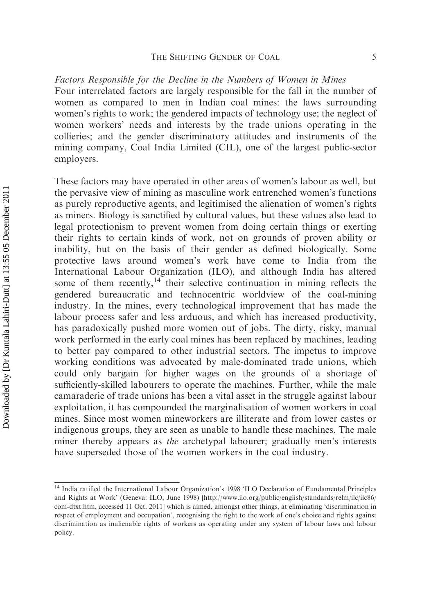#### THE SHIFTING GENDER OF COAL 5

Factors Responsible for the Decline in the Numbers of Women in Mines Four interrelated factors are largely responsible for the fall in the number of women as compared to men in Indian coal mines: the laws surrounding women's rights to work; the gendered impacts of technology use; the neglect of women workers' needs and interests by the trade unions operating in the collieries; and the gender discriminatory attitudes and instruments of the mining company, Coal India Limited (CIL), one of the largest public-sector employers.

These factors may have operated in other areas of women's labour as well, but the pervasive view of mining as masculine work entrenched women's functions as purely reproductive agents, and legitimised the alienation of women's rights as miners. Biology is sanctified by cultural values, but these values also lead to legal protectionism to prevent women from doing certain things or exerting their rights to certain kinds of work, not on grounds of proven ability or inability, but on the basis of their gender as defined biologically. Some protective laws around women's work have come to India from the International Labour Organization (ILO), and although India has altered some of them recently, $14$  their selective continuation in mining reflects the gendered bureaucratic and technocentric worldview of the coal-mining industry. In the mines, every technological improvement that has made the labour process safer and less arduous, and which has increased productivity, has paradoxically pushed more women out of jobs. The dirty, risky, manual work performed in the early coal mines has been replaced by machines, leading to better pay compared to other industrial sectors. The impetus to improve working conditions was advocated by male-dominated trade unions, which could only bargain for higher wages on the grounds of a shortage of sufficiently-skilled labourers to operate the machines. Further, while the male camaraderie of trade unions has been a vital asset in the struggle against labour exploitation, it has compounded the marginalisation of women workers in coal mines. Since most women mineworkers are illiterate and from lower castes or indigenous groups, they are seen as unable to handle these machines. The male miner thereby appears as the archetypal labourer; gradually men's interests have superseded those of the women workers in the coal industry.

<sup>&</sup>lt;sup>14</sup> India ratified the International Labour Organization's 1998 'ILO Declaration of Fundamental Principles and Rights at Work' (Geneva: ILO, June 1998) [\[http://www.ilo.org/public/english/standards/relm/ilc/ilc86/](http://www.ilo.org/public/english/standards/relm/ilc/ilc86/com-dtxt.htm,) [com-dtxt.htm,](http://www.ilo.org/public/english/standards/relm/ilc/ilc86/com-dtxt.htm,) accessed 11 Oct. 2011] which is aimed, amongst other things, at eliminating 'discrimination in respect of employment and occupation', recognising the right to the work of one's choice and rights against discrimination as inalienable rights of workers as operating under any system of labour laws and labour policy.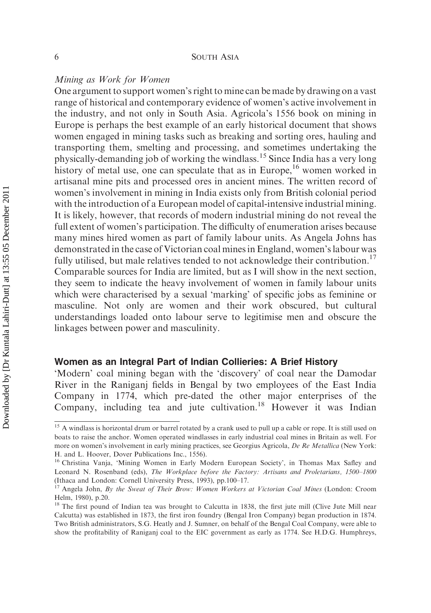#### Mining as Work for Women

One argument to support women's right to mine can be made by drawing on a vast range of historical and contemporary evidence of women's active involvement in the industry, and not only in South Asia. Agricola's 1556 book on mining in Europe is perhaps the best example of an early historical document that shows women engaged in mining tasks such as breaking and sorting ores, hauling and transporting them, smelting and processing, and sometimes undertaking the physically-demanding job of working the windlass.<sup>15</sup> Since India has a very long history of metal use, one can speculate that as in Europe,  $16$  women worked in artisanal mine pits and processed ores in ancient mines. The written record of women's involvement in mining in India exists only from British colonial period with the introduction of a European model of capital-intensive industrial mining. It is likely, however, that records of modern industrial mining do not reveal the full extent of women's participation. The difficulty of enumeration arises because many mines hired women as part of family labour units. As Angela Johns has demonstrated in the case of Victorian coal mines in England, women's labour was fully utilised, but male relatives tended to not acknowledge their contribution.<sup>17</sup> Comparable sources for India are limited, but as I will show in the next section, they seem to indicate the heavy involvement of women in family labour units which were characterised by a sexual 'marking' of specific jobs as feminine or masculine. Not only are women and their work obscured, but cultural understandings loaded onto labour serve to legitimise men and obscure the linkages between power and masculinity.

## Women as an Integral Part of Indian Collieries: A Brief History

'Modern' coal mining began with the 'discovery' of coal near the Damodar River in the Raniganj fields in Bengal by two employees of the East India Company in 1774, which pre-dated the other major enterprises of the Company, including tea and jute cultivation.<sup>18</sup> However it was Indian

<sup>&</sup>lt;sup>15</sup> A windlass is horizontal drum or barrel rotated by a crank used to pull up a cable or rope. It is still used on boats to raise the anchor. Women operated windlasses in early industrial coal mines in Britain as well. For more on women's involvement in early mining practices, see Georgius Agricola, De Re Metallica (New York: H. and L. Hoover, Dover Publications Inc., 1556).

<sup>&</sup>lt;sup>16</sup> Christina Vanja, 'Mining Women in Early Modern European Society', in Thomas Max Safley and Leonard N. Rosenband (eds), The Workplace before the Factory: Artisans and Proletarians, 1500–1800 (Ithaca and London: Cornell University Press, 1993), pp.100–17.<br><sup>17</sup> Angela John, *By the Sweat of Their Brow: Women Workers at Victorian Coal Mines* (London: Croom

Helm, 1980), p.20.

<sup>&</sup>lt;sup>18</sup> The first pound of Indian tea was brought to Calcutta in 1838, the first jute mill (Clive Jute Mill near Calcutta) was established in 1873, the first iron foundry (Bengal Iron Company) began production in 1874. Two British administrators, S.G. Heatly and J. Sumner, on behalf of the Bengal Coal Company, were able to show the profitability of Raniganj coal to the EIC government as early as 1774. See H.D.G. Humphreys,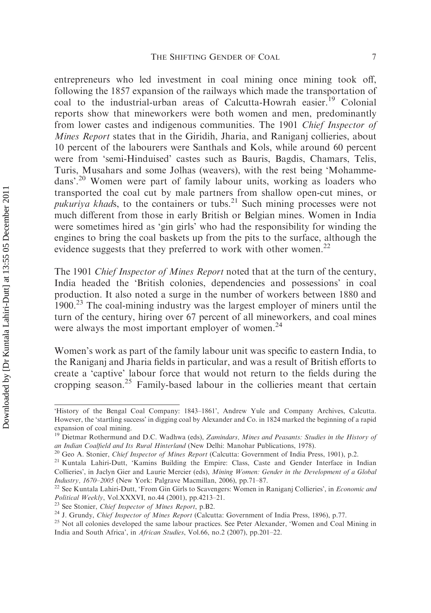entrepreneurs who led investment in coal mining once mining took off, following the 1857 expansion of the railways which made the transportation of coal to the industrial-urban areas of Calcutta-Howrah easier.<sup>19</sup> Colonial reports show that mineworkers were both women and men, predominantly from lower castes and indigenous communities. The 1901 Chief Inspector of Mines Report states that in the Giridih, Jharia, and Raniganj collieries, about 10 percent of the labourers were Santhals and Kols, while around 60 percent were from 'semi-Hinduised' castes such as Bauris, Bagdis, Chamars, Telis, Turis, Musahars and some Jolhas (weavers), with the rest being 'Mohammedans'.20 Women were part of family labour units, working as loaders who transported the coal cut by male partners from shallow open-cut mines, or *pukuriya khads*, to the containers or tubs.<sup>21</sup> Such mining processes were not much different from those in early British or Belgian mines. Women in India were sometimes hired as 'gin girls' who had the responsibility for winding the engines to bring the coal baskets up from the pits to the surface, although the evidence suggests that they preferred to work with other women.<sup>22</sup>

The 1901 Chief Inspector of Mines Report noted that at the turn of the century, India headed the 'British colonies, dependencies and possessions' in coal production. It also noted a surge in the number of workers between 1880 and 1900.<sup>23</sup> The coal-mining industry was the largest employer of miners until the turn of the century, hiring over 67 percent of all mineworkers, and coal mines were always the most important employer of women.<sup>24</sup>

Women's work as part of the family labour unit was specific to eastern India, to the Raniganj and Jharia fields in particular, and was a result of British efforts to create a 'captive' labour force that would not return to the fields during the cropping season.25 Family-based labour in the collieries meant that certain

<sup>&#</sup>x27;History of the Bengal Coal Company: 1843–1861', Andrew Yule and Company Archives, Calcutta. However, the 'startling success' in digging coal by Alexander and Co. in 1824 marked the beginning of a rapid expansion of coal mining.

<sup>&</sup>lt;sup>19</sup> Dietmar Rothermund and D.C. Wadhwa (eds), Zamindars, Mines and Peasants: Studies in the History of an Indian Coalfield and Its Rural Hinterland (New Delhi: Manohar Publications, 1978).<br><sup>20</sup> Geo A. Stonier, Chief Inspector of Mines Report (Calcutta: Government of India Press, 1901), p.2.

<sup>21</sup> Kuntala Lahiri-Dutt, 'Kamins Building the Empire: Class, Caste and Gender Interface in Indian Collieries', in Jaclyn Gier and Laurie Mercier (eds), Mining Women: Gender in the Development of a Global

Industry, 1670–2005 (New York: Palgrave Macmillan, 2006), pp.71–87.<br><sup>22</sup> See Kuntala Lahiri-Dutt, 'From Gin Girls to Scavengers: Women in Raniganj Collieries', in *Economic and* Political Weekly, Vol.XXXVI, no.44 (2001), pp.4213–21.<br><sup>23</sup> See Stonier, *Chief Inspector of Mines Report*, p.B2.<br><sup>24</sup> J. Grundy, *Chief Inspector of Mines Report* (Calcutta: Government of India Press, 1896), p.77.<br><sup>25</sup> No

India and South Africa', in African Studies, Vol.66, no.2 (2007), pp.201–22.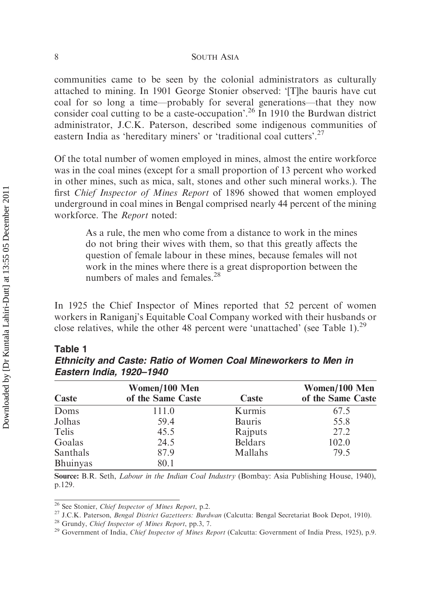communities came to be seen by the colonial administrators as culturally attached to mining. In 1901 George Stonier observed: '[T]he bauris have cut coal for so long a time—probably for several generations—that they now consider coal cutting to be a caste-occupation'.<sup>26</sup> In 1910 the Burdwan district administrator, J.C.K. Paterson, described some indigenous communities of eastern India as 'hereditary miners' or 'traditional coal cutters'.27

Of the total number of women employed in mines, almost the entire workforce was in the coal mines (except for a small proportion of 13 percent who worked in other mines, such as mica, salt, stones and other such mineral works.). The first Chief Inspector of Mines Report of 1896 showed that women employed underground in coal mines in Bengal comprised nearly 44 percent of the mining workforce. The Report noted:

As a rule, the men who come from a distance to work in the mines do not bring their wives with them, so that this greatly affects the question of female labour in these mines, because females will not work in the mines where there is a great disproportion between the numbers of males and females.<sup>28</sup>

In 1925 the Chief Inspector of Mines reported that 52 percent of women workers in Raniganj's Equitable Coal Company worked with their husbands or close relatives, while the other 48 percent were 'unattached' (see Table 1).<sup>29</sup>

| Eastern India, 1920–1940 |                                    |                |                                    |  |
|--------------------------|------------------------------------|----------------|------------------------------------|--|
| Caste                    | Women/100 Men<br>of the Same Caste | Caste          | Women/100 Men<br>of the Same Caste |  |
| Doms                     | 111.0                              | Kurmis         | 67.5                               |  |
| Jolhas                   | 59.4                               | <b>Bauris</b>  | 55.8                               |  |
| Telis                    | 45.5                               | Rajputs        | 27.2                               |  |
| Goalas                   | 24.5                               | <b>Beldars</b> | 102.0                              |  |
| Santhals                 | 87.9                               | Mallahs        | 79.5                               |  |
| Bhuinyas                 | 80.1                               |                |                                    |  |

## Table 1

Ethnicity and Caste: Ratio of Women Coal Mineworkers to Men in  $E_{200}$   $E_{2040}$ 

Source: B.R. Seth, *Labour in the Indian Coal Industry* (Bombay: Asia Publishing House, 1940), p.129.

<sup>&</sup>lt;sup>26</sup> See Stonier, *Chief Inspector of Mines Report*, p.2. <sup>27</sup> J.C.K. Paterson, *Bengal District Gazetteers: Burdwan* (Calcutta: Bengal Secretariat Book Depot, 1910). <sup>28</sup> Grundy, *Chief Inspector of Mines Report*, pp.3,

<sup>&</sup>lt;sup>29</sup> Government of India, *Chief Inspector of Mines Report* (Calcutta: Government of India Press, 1925), p.9.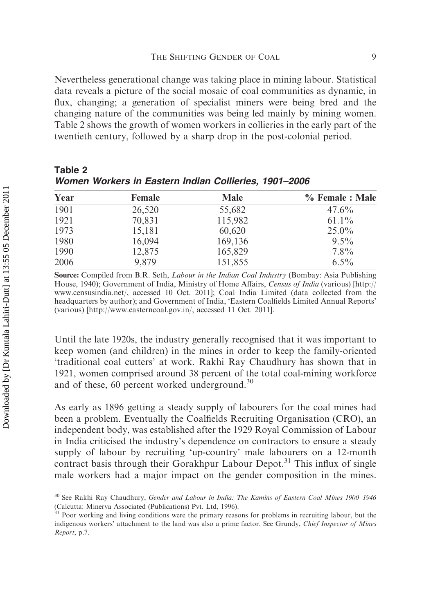Nevertheless generational change was taking place in mining labour. Statistical data reveals a picture of the social mosaic of coal communities as dynamic, in flux, changing; a generation of specialist miners were being bred and the changing nature of the communities was being led mainly by mining women. Table 2 shows the growth of women workers in collieries in the early part of the twentieth century, followed by a sharp drop in the post-colonial period.

| $\ldots$ |        |             |                |  |
|----------|--------|-------------|----------------|--|
| Year     | Female | <b>Male</b> | % Female: Male |  |
| 1901     | 26,520 | 55,682      | $47.6\%$       |  |
| 1921     | 70,831 | 115,982     | $61.1\%$       |  |
| 1973     | 15,181 | 60,620      | $25.0\%$       |  |
| 1980     | 16,094 | 169,136     | $9.5\%$        |  |
| 1990     | 12,875 | 165,829     | $7.8\%$        |  |
| 2006     | 9,879  | 151,855     | $6.5\%$        |  |

Table 2 Women Workers in Eastern Indian Collieries, 1901–2006

Source: Compiled from B.R. Seth, *Labour in the Indian Coal Industry* (Bombay: Asia Publishing House, 1940); Government of India, Ministry of Home Affairs, Census of India (various) [[http://](http://www.censusindia.net/) [www.censusindia.net/](http://www.censusindia.net/), accessed 10 Oct. 2011]; Coal India Limited (data collected from the headquarters by author); and Government of India, 'Eastern Coalfields Limited Annual Reports' (various) [[http://www.easterncoal.gov.in/,](http://www.easterncoal.gov.in/) accessed 11 Oct. 2011].

Until the late 1920s, the industry generally recognised that it was important to keep women (and children) in the mines in order to keep the family-oriented 'traditional coal cutters' at work. Rakhi Ray Chaudhury has shown that in 1921, women comprised around 38 percent of the total coal-mining workforce and of these, 60 percent worked underground.<sup>30</sup>

As early as 1896 getting a steady supply of labourers for the coal mines had been a problem. Eventually the Coalfields Recruiting Organisation (CRO), an independent body, was established after the 1929 Royal Commission of Labour in India criticised the industry's dependence on contractors to ensure a steady supply of labour by recruiting 'up-country' male labourers on a 12-month contract basis through their Gorakhpur Labour Depot.<sup>31</sup> This influx of single male workers had a major impact on the gender composition in the mines.

<sup>&</sup>lt;sup>30</sup> See Rakhi Ray Chaudhury, Gender and Labour in India: The Kamins of Eastern Coal Mines 1900-1946 (Calcutta: Minerva Associated (Publications) Pvt. Ltd, 1996).

<sup>&</sup>lt;sup>31</sup> Poor working and living conditions were the primary reasons for problems in recruiting labour, but the indigenous workers' attachment to the land was also a prime factor. See Grundy, Chief Inspector of Mines Report, p.7.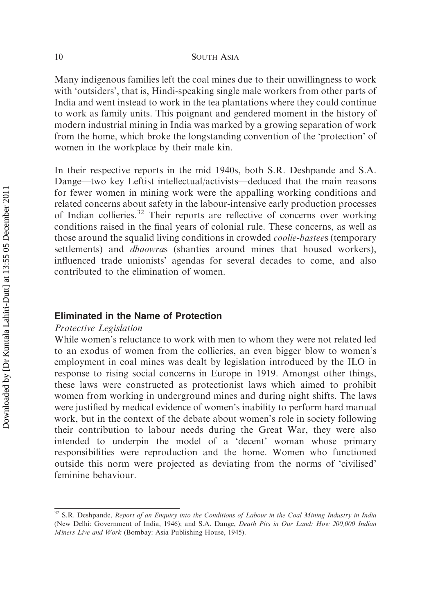Many indigenous families left the coal mines due to their unwillingness to work with 'outsiders', that is, Hindi-speaking single male workers from other parts of India and went instead to work in the tea plantations where they could continue to work as family units. This poignant and gendered moment in the history of modern industrial mining in India was marked by a growing separation of work from the home, which broke the longstanding convention of the 'protection' of women in the workplace by their male kin.

In their respective reports in the mid 1940s, both S.R. Deshpande and S.A. Dange—two key Leftist intellectual/activists—deduced that the main reasons for fewer women in mining work were the appalling working conditions and related concerns about safety in the labour-intensive early production processes of Indian collieries.<sup>32</sup> Their reports are reflective of concerns over working conditions raised in the final years of colonial rule. These concerns, as well as those around the squalid living conditions in crowded *coolie-bastees* (temporary settlements) and *dhaowras* (shanties around mines that housed workers), influenced trade unionists' agendas for several decades to come, and also contributed to the elimination of women.

## Eliminated in the Name of Protection

#### Protective Legislation

While women's reluctance to work with men to whom they were not related led to an exodus of women from the collieries, an even bigger blow to women's employment in coal mines was dealt by legislation introduced by the ILO in response to rising social concerns in Europe in 1919. Amongst other things, these laws were constructed as protectionist laws which aimed to prohibit women from working in underground mines and during night shifts. The laws were justified by medical evidence of women's inability to perform hard manual work, but in the context of the debate about women's role in society following their contribution to labour needs during the Great War, they were also intended to underpin the model of a 'decent' woman whose primary responsibilities were reproduction and the home. Women who functioned outside this norm were projected as deviating from the norms of 'civilised' feminine behaviour.

<sup>&</sup>lt;sup>32</sup> S.R. Deshpande, Report of an Enquiry into the Conditions of Labour in the Coal Mining Industry in India (New Delhi: Government of India, 1946); and S.A. Dange, Death Pits in Our Land: How 200,000 Indian Miners Live and Work (Bombay: Asia Publishing House, 1945).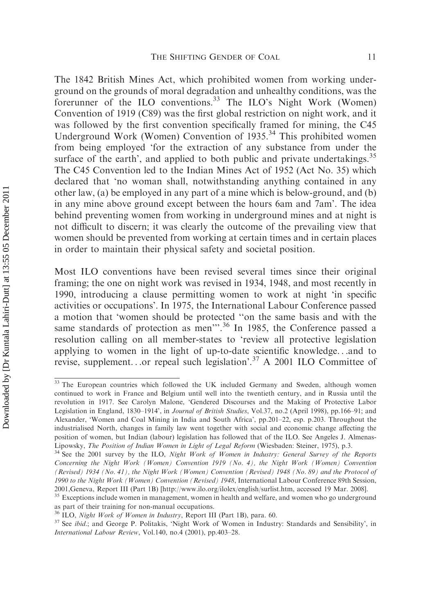The 1842 British Mines Act, which prohibited women from working underground on the grounds of moral degradation and unhealthy conditions, was the forerunner of the ILO conventions.<sup>33</sup> The ILO's Night Work (Women) Convention of 1919 (C89) was the first global restriction on night work, and it was followed by the first convention specifically framed for mining, the C45 Underground Work (Women) Convention of 1935.<sup>34</sup> This prohibited women from being employed 'for the extraction of any substance from under the surface of the earth', and applied to both public and private undertakings.<sup>35</sup> The C45 Convention led to the Indian Mines Act of 1952 (Act No. 35) which declared that 'no woman shall, notwithstanding anything contained in any other law, (a) be employed in any part of a mine which is below-ground, and (b) in any mine above ground except between the hours 6am and 7am'. The idea behind preventing women from working in underground mines and at night is not difficult to discern; it was clearly the outcome of the prevailing view that women should be prevented from working at certain times and in certain places in order to maintain their physical safety and societal position.

Most ILO conventions have been revised several times since their original framing; the one on night work was revised in 1934, 1948, and most recently in 1990, introducing a clause permitting women to work at night 'in specific activities or occupations'. In 1975, the International Labour Conference passed a motion that 'women should be protected ''on the same basis and with the same standards of protection as men<sup>"'.36</sup> In 1985, the Conference passed a resolution calling on all member-states to 'review all protective legislation applying to women in the light of up-to-date scientific knowledge. . .and to revise, supplement. . .or repeal such legislation'.<sup>37</sup> A 2001 ILO Committee of

<sup>&</sup>lt;sup>33</sup> The European countries which followed the UK included Germany and Sweden, although women continued to work in France and Belgium until well into the twentieth century, and in Russia until the revolution in 1917. See Carolyn Malone, 'Gendered Discourses and the Making of Protective Labor Legislation in England, 1830–1914', in Journal of British Studies, Vol.37, no.2 (April 1998), pp.166–91; and Alexander, 'Women and Coal Mining in India and South Africa', pp.201–22, esp. p.203. Throughout the industrialised North, changes in family law went together with social and economic change affecting the position of women, but Indian (labour) legislation has followed that of the ILO. See Angeles J. Almenas-

Lipowsky, The Position of Indian Women in Light of Legal Reform (Wiesbaden: Steiner, 1975), p.3.  $34$  See the 2001 survey by the ILO, Night Work of Women in Industry: General Survey of the Reports Concerning the Night Work (Women) Convention 1919 (No. 4), the Night Work (Women) Convention (Revised) 1934 (No. 41), the Night Work (Women) Convention (Revised) 1948 (No. 89) and the Protocol of 1990 to the Night Work (Women) Convention (Revised) 1948, International Labour Conference 89th Session, 2001,Geneva, Report III (Part 1B) [\[http://www.ilo.org/ilolex/english/surlist.htm,](http://www.ilo.org/ilolex/english/surlist.htm,) accessed 19 Mar. 2008].

<sup>&</sup>lt;sup>35</sup> Exceptions include women in management, women in health and welfare, and women who go underground as part of their training for non-manual occupations.<br><sup>36</sup> ILO, *Night Work of Women in Industry*, Report III (Part 1B), para. 60.

<sup>&</sup>lt;sup>37</sup> See ibid.; and George P. Politakis, 'Night Work of Women in Industry: Standards and Sensibility', in International Labour Review, Vol.140, no.4 (2001), pp.403–28.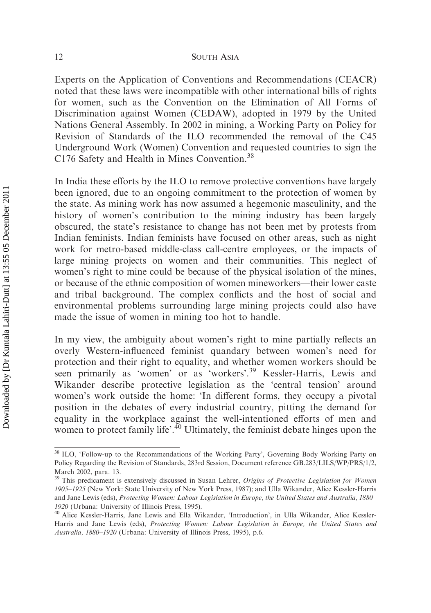Experts on the Application of Conventions and Recommendations (CEACR) noted that these laws were incompatible with other international bills of rights for women, such as the Convention on the Elimination of All Forms of Discrimination against Women (CEDAW), adopted in 1979 by the United Nations General Assembly. In 2002 in mining, a Working Party on Policy for Revision of Standards of the ILO recommended the removal of the C45 Underground Work (Women) Convention and requested countries to sign the C176 Safety and Health in Mines Convention.<sup>38</sup>

In India these efforts by the ILO to remove protective conventions have largely been ignored, due to an ongoing commitment to the protection of women by the state. As mining work has now assumed a hegemonic masculinity, and the history of women's contribution to the mining industry has been largely obscured, the state's resistance to change has not been met by protests from Indian feminists. Indian feminists have focused on other areas, such as night work for metro-based middle-class call-centre employees, or the impacts of large mining projects on women and their communities. This neglect of women's right to mine could be because of the physical isolation of the mines, or because of the ethnic composition of women mineworkers—their lower caste and tribal background. The complex conflicts and the host of social and environmental problems surrounding large mining projects could also have made the issue of women in mining too hot to handle.

In my view, the ambiguity about women's right to mine partially reflects an overly Western-influenced feminist quandary between women's need for protection and their right to equality, and whether women workers should be seen primarily as 'women' or as 'workers'.<sup>39</sup> Kessler-Harris, Lewis and Wikander describe protective legislation as the 'central tension' around women's work outside the home: 'In different forms, they occupy a pivotal position in the debates of every industrial country, pitting the demand for equality in the workplace against the well-intentioned efforts of men and women to protect family life'.<sup>40</sup> Ultimately, the feminist debate hinges upon the

<sup>38</sup> ILO, 'Follow-up to the Recommendations of the Working Party', Governing Body Working Party on Policy Regarding the Revision of Standards, 283rd Session, Document reference GB.283/LILS/WP/PRS/1/2, March 2002, para. 13.

<sup>&</sup>lt;sup>39</sup> This predicament is extensively discussed in Susan Lehrer, Origins of Protective Legislation for Women 1905–1925 (New York: State University of New York Press, 1987); and Ulla Wikander, Alice Kessler-Harris and Jane Lewis (eds), Protecting Women: Labour Legislation in Europe, the United States and Australia, 1880–

<sup>1920 (</sup>Urbana: University of Illinois Press, 1995).<br><sup>40</sup> Alice Kessler-Harris, Jane Lewis and Ella Wikander, 'Introduction', in Ulla Wikander, Alice Kessler-Harris and Jane Lewis (eds), Protecting Women: Labour Legislation in Europe, the United States and Australia, 1880–1920 (Urbana: University of Illinois Press, 1995), p.6.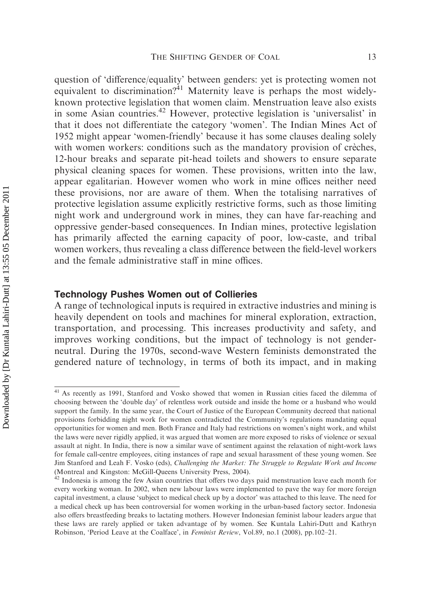question of 'difference/equality' between genders: yet is protecting women not equivalent to discrimination?<sup>41</sup> Maternity leave is perhaps the most widelyknown protective legislation that women claim. Menstruation leave also exists in some Asian countries.42 However, protective legislation is 'universalist' in that it does not differentiate the category 'women'. The Indian Mines Act of 1952 might appear 'women-friendly' because it has some clauses dealing solely with women workers: conditions such as the mandatory provision of creches, 12-hour breaks and separate pit-head toilets and showers to ensure separate physical cleaning spaces for women. These provisions, written into the law, appear egalitarian. However women who work in mine offices neither need these provisions, nor are aware of them. When the totalising narratives of protective legislation assume explicitly restrictive forms, such as those limiting night work and underground work in mines, they can have far-reaching and oppressive gender-based consequences. In Indian mines, protective legislation has primarily affected the earning capacity of poor, low-caste, and tribal women workers, thus revealing a class difference between the field-level workers and the female administrative staff in mine offices.

## Technology Pushes Women out of Collieries

A range of technological inputs is required in extractive industries and mining is heavily dependent on tools and machines for mineral exploration, extraction, transportation, and processing. This increases productivity and safety, and improves working conditions, but the impact of technology is not genderneutral. During the 1970s, second-wave Western feminists demonstrated the gendered nature of technology, in terms of both its impact, and in making

<sup>41</sup> As recently as 1991, Stanford and Vosko showed that women in Russian cities faced the dilemma of choosing between the 'double day' of relentless work outside and inside the home or a husband who would support the family. In the same year, the Court of Justice of the European Community decreed that national provisions forbidding night work for women contradicted the Community's regulations mandating equal opportunities for women and men. Both France and Italy had restrictions on women's night work, and whilst the laws were never rigidly applied, it was argued that women are more exposed to risks of violence or sexual assault at night. In India, there is now a similar wave of sentiment against the relaxation of night-work laws for female call-centre employees, citing instances of rape and sexual harassment of these young women. See Jim Stanford and Leah F. Vosko (eds), Challenging the Market: The Struggle to Regulate Work and Income (Montreal and Kingston: McGill-Queens University Press, 2004).

<sup>&</sup>lt;sup>42</sup> Indonesia is among the few Asian countries that offers two days paid menstruation leave each month for every working woman. In 2002, when new labour laws were implemented to pave the way for more foreign capital investment, a clause 'subject to medical check up by a doctor' was attached to this leave. The need for a medical check up has been controversial for women working in the urban-based factory sector. Indonesia also offers breastfeeding breaks to lactating mothers. However Indonesian feminist labour leaders argue that these laws are rarely applied or taken advantage of by women. See Kuntala Lahiri-Dutt and Kathryn Robinson, 'Period Leave at the Coalface', in Feminist Review, Vol.89, no.1 (2008), pp.102–21.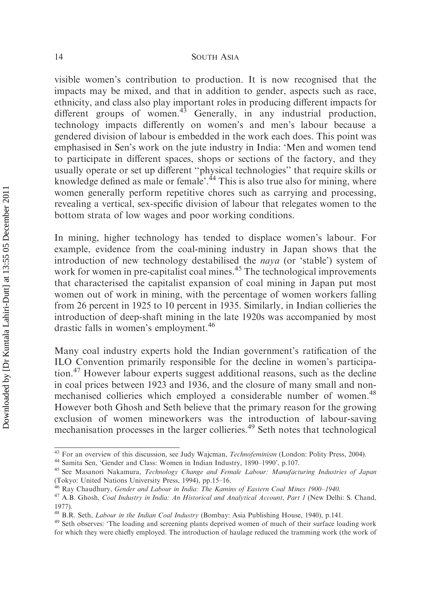visible women's contribution to production. It is now recognised that the impacts may be mixed, and that in addition to gender, aspects such as race, ethnicity, and class also play important roles in producing different impacts for different groups of women.<sup>43</sup> Generally, in any industrial production, technology impacts differently on women's and men's labour because a gendered division of labour is embedded in the work each does. This point was emphasised in Sen's work on the jute industry in India: 'Men and women tend to participate in different spaces, shops or sections of the factory, and they usually operate or set up different ''physical technologies'' that require skills or knowledge defined as male or female<sup> $\cdot$ .44</sup> This is also true also for mining, where women generally perform repetitive chores such as carrying and processing, revealing a vertical, sex-specific division of labour that relegates women to the bottom strata of low wages and poor working conditions.

In mining, higher technology has tended to displace women's labour. For example, evidence from the coal-mining industry in Japan shows that the introduction of new technology destabilised the *naya* (or 'stable') system of work for women in pre-capitalist coal mines.<sup>45</sup> The technological improvements that characterised the capitalist expansion of coal mining in Japan put most women out of work in mining, with the percentage of women workers falling from 26 percent in 1925 to 10 percent in 1935. Similarly, in Indian collieries the introduction of deep-shaft mining in the late 1920s was accompanied by most drastic falls in women's employment.<sup>46</sup>

Many coal industry experts hold the Indian government's ratification of the ILO Convention primarily responsible for the decline in women's participation.<sup>47</sup> However labour experts suggest additional reasons, such as the decline in coal prices between 1923 and 1936, and the closure of many small and nonmechanised collieries which employed a considerable number of women.<sup>48</sup> However both Ghosh and Seth believe that the primary reason for the growing exclusion of women mineworkers was the introduction of labour-saving mechanisation processes in the larger collieries.<sup>49</sup> Seth notes that technological

<sup>&</sup>lt;sup>43</sup> For an overview of this discussion, see Judy Wajcman, *Technofeminism* (London: Polity Press, 2004).<br><sup>44</sup> Samita Sen, 'Gender and Class: Women in Indian Industry, 1890–1990', p.107.

<sup>&</sup>lt;sup>45</sup> See Masanori Nakamura, Technology Change and Female Labour: Manufacturing Industries of Japan (Tokyo: United Nations University Press, 1994), pp.15–16. <sup>46</sup> Ray Chaudhury, Gender and Labour in India: The Kamins of Eastern Coal Mines 1900–1940.

<sup>&</sup>lt;sup>47</sup> A.B. Ghosh, *Coal Industry in India: An Historical and Analytical Account, Part 1* (New Delhi: S. Chand, 1977).<br><sup>48</sup> B.R. Seth, *Labour in the Indian Coal Industry* (Bombay: Asia Publishing House, 1940), p.141.

<sup>&</sup>lt;sup>49</sup> Seth observes: 'The loading and screening plants deprived women of much of their surface loading work for which they were chiefly employed. The introduction of haulage reduced the tramming work (the work of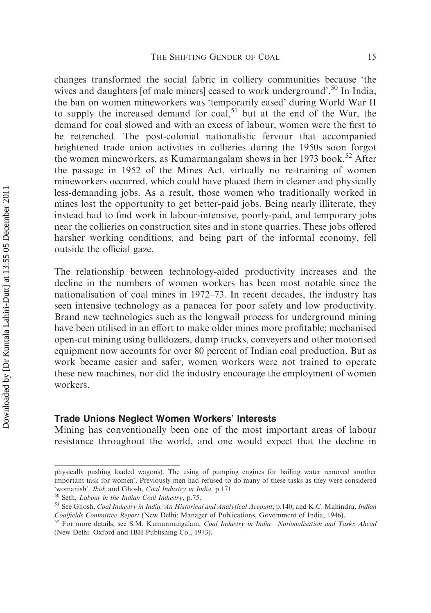changes transformed the social fabric in colliery communities because 'the wives and daughters [of male miners] ceased to work underground'.<sup>50</sup> In India, the ban on women mineworkers was 'temporarily eased' during World War II to supply the increased demand for  $\cosh^{51}$  but at the end of the War, the demand for coal slowed and with an excess of labour, women were the first to be retrenched. The post-colonial nationalistic fervour that accompanied heightened trade union activities in collieries during the 1950s soon forgot the women mineworkers, as Kumarmangalam shows in her 1973 book.<sup>52</sup> After the passage in 1952 of the Mines Act, virtually no re-training of women mineworkers occurred, which could have placed them in cleaner and physically less-demanding jobs. As a result, those women who traditionally worked in mines lost the opportunity to get better-paid jobs. Being nearly illiterate, they instead had to find work in labour-intensive, poorly-paid, and temporary jobs near the collieries on construction sites and in stone quarries. These jobs offered harsher working conditions, and being part of the informal economy, fell outside the official gaze.

The relationship between technology-aided productivity increases and the decline in the numbers of women workers has been most notable since the nationalisation of coal mines in 1972–73. In recent decades, the industry has seen intensive technology as a panacea for poor safety and low productivity. Brand new technologies such as the longwall process for underground mining have been utilised in an effort to make older mines more profitable; mechanised open-cut mining using bulldozers, dump trucks, conveyers and other motorised equipment now accounts for over 80 percent of Indian coal production. But as work became easier and safer, women workers were not trained to operate these new machines, nor did the industry encourage the employment of women workers.

### Trade Unions Neglect Women Workers' Interests

Mining has conventionally been one of the most important areas of labour resistance throughout the world, and one would expect that the decline in

physically pushing loaded wagons). The using of pumping engines for bailing water removed another important task for women'. Previously men had refused to do many of these tasks as they were considered 'womanish'. Ibid; and Ghosh, Coal Industry in India, p.171 <sup>50</sup> Seth, *Labour in the Indian Coal Industry*, p.75.

<sup>&</sup>lt;sup>51</sup> See Ghosh, Coal Industry in India: An Historical and Analytical Account, p.140; and K.C. Mahindra, Indian Coalfields Committee Report (New Delhi: Manager of Publications, Government of India, 1946). <sup>52</sup> For more details, see S.M. Kumarmangalam, *Coal Industry in India—Nationalisation and Tasks Ahead* 

<sup>(</sup>New Delhi: Oxford and IBH Publishing Co., 1973).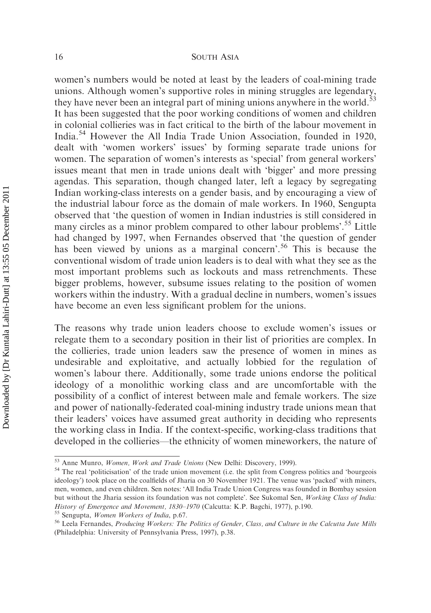women's numbers would be noted at least by the leaders of coal-mining trade unions. Although women's supportive roles in mining struggles are legendary, they have never been an integral part of mining unions anywhere in the world.<sup>53</sup> It has been suggested that the poor working conditions of women and children in colonial collieries was in fact critical to the birth of the labour movement in India.54 However the All India Trade Union Association, founded in 1920, dealt with 'women workers' issues' by forming separate trade unions for women. The separation of women's interests as 'special' from general workers' issues meant that men in trade unions dealt with 'bigger' and more pressing agendas. This separation, though changed later, left a legacy by segregating Indian working-class interests on a gender basis, and by encouraging a view of the industrial labour force as the domain of male workers. In 1960, Sengupta observed that 'the question of women in Indian industries is still considered in many circles as a minor problem compared to other labour problems'.<sup>55</sup> Little had changed by 1997, when Fernandes observed that 'the question of gender has been viewed by unions as a marginal concern'.<sup>56</sup> This is because the conventional wisdom of trade union leaders is to deal with what they see as the most important problems such as lockouts and mass retrenchments. These bigger problems, however, subsume issues relating to the position of women workers within the industry. With a gradual decline in numbers, women's issues have become an even less significant problem for the unions.

The reasons why trade union leaders choose to exclude women's issues or relegate them to a secondary position in their list of priorities are complex. In the collieries, trade union leaders saw the presence of women in mines as undesirable and exploitative, and actually lobbied for the regulation of women's labour there. Additionally, some trade unions endorse the political ideology of a monolithic working class and are uncomfortable with the possibility of a conflict of interest between male and female workers. The size and power of nationally-federated coal-mining industry trade unions mean that their leaders' voices have assumed great authority in deciding who represents the working class in India. If the context-specific, working-class traditions that developed in the collieries—the ethnicity of women mineworkers, the nature of

<sup>&</sup>lt;sup>53</sup> Anne Munro, *Women, Work and Trade Unions* (New Delhi: Discovery, 1999).<br><sup>54</sup> The real 'politicisation' of the trade union movement (i.e. the split from Congress politics and 'bourgeois ideology') took place on the coalfields of Jharia on 30 November 1921. The venue was 'packed' with miners, men, women, and even children. Sen notes: 'All India Trade Union Congress was founded in Bombay session but without the Jharia session its foundation was not complete'. See Sukomal Sen, Working Class of India: History of Emergence and Movement, 1830–1970 (Calcutta: K.P. Bagchi, 1977), p.190.<br><sup>55</sup> Sengupta, Women Workers of India, p.67.<br><sup>56</sup> Leela Fernandes, *Producing Workers: The Politics of Gender, Class, and Culture in the Ca* 

<sup>(</sup>Philadelphia: University of Pennsylvania Press, 1997), p.38.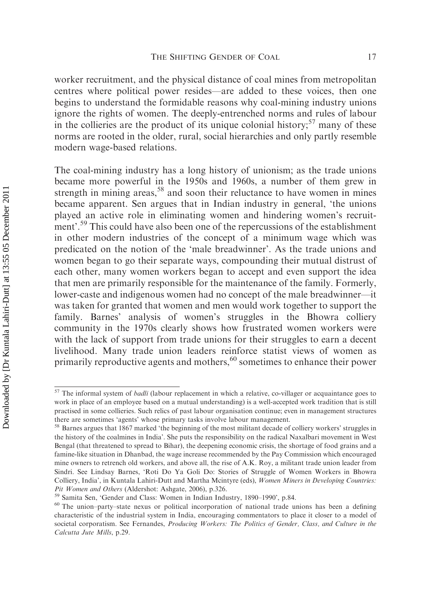worker recruitment, and the physical distance of coal mines from metropolitan centres where political power resides—are added to these voices, then one begins to understand the formidable reasons why coal-mining industry unions ignore the rights of women. The deeply-entrenched norms and rules of labour in the collieries are the product of its unique colonial history;<sup>57</sup> many of these norms are rooted in the older, rural, social hierarchies and only partly resemble modern wage-based relations.

The coal-mining industry has a long history of unionism; as the trade unions became more powerful in the 1950s and 1960s, a number of them grew in strength in mining areas,<sup>58</sup> and soon their reluctance to have women in mines became apparent. Sen argues that in Indian industry in general, 'the unions played an active role in eliminating women and hindering women's recruitment'.<sup>59</sup> This could have also been one of the repercussions of the establishment in other modern industries of the concept of a minimum wage which was predicated on the notion of the 'male breadwinner'. As the trade unions and women began to go their separate ways, compounding their mutual distrust of each other, many women workers began to accept and even support the idea that men are primarily responsible for the maintenance of the family. Formerly, lower-caste and indigenous women had no concept of the male breadwinner—it was taken for granted that women and men would work together to support the family. Barnes' analysis of women's struggles in the Bhowra colliery community in the 1970s clearly shows how frustrated women workers were with the lack of support from trade unions for their struggles to earn a decent livelihood. Many trade union leaders reinforce statist views of women as primarily reproductive agents and mothers,<sup>60</sup> sometimes to enhance their power

<sup>&</sup>lt;sup>57</sup> The informal system of *badli* (labour replacement in which a relative, co-villager or acquaintance goes to work in place of an employee based on a mutual understanding) is a well-accepted work tradition that is still practised in some collieries. Such relics of past labour organisation continue; even in management structures there are sometimes 'agents' whose primary tasks involve labour management.

<sup>58</sup> Barnes argues that 1867 marked 'the beginning of the most militant decade of colliery workers' struggles in the history of the coalmines in India'. She puts the responsibility on the radical Naxalbari movement in West Bengal (that threatened to spread to Bihar), the deepening economic crisis, the shortage of food grains and a famine-like situation in Dhanbad, the wage increase recommended by the Pay Commission which encouraged mine owners to retrench old workers, and above all, the rise of A.K. Roy, a militant trade union leader from Sindri. See Lindsay Barnes, 'Roti Do Ya Goli Do: Stories of Struggle of Women Workers in Bhowra Colliery, India', in Kuntala Lahiri-Dutt and Martha Mcintyre (eds), Women Miners in Developing Countries: Pit Women and Others (Aldershot: Ashgate, 2006), p.326.<br><sup>59</sup> Samita Sen, 'Gender and Class: Women in Indian Industry, 1890–1990', p.84.

<sup>&</sup>lt;sup>60</sup> The union-party-state nexus or political incorporation of national trade unions has been a defining characteristic of the industrial system in India, encouraging commentators to place it closer to a model of societal corporatism. See Fernandes, Producing Workers: The Politics of Gender, Class, and Culture in the Calcutta Jute Mills, p.29.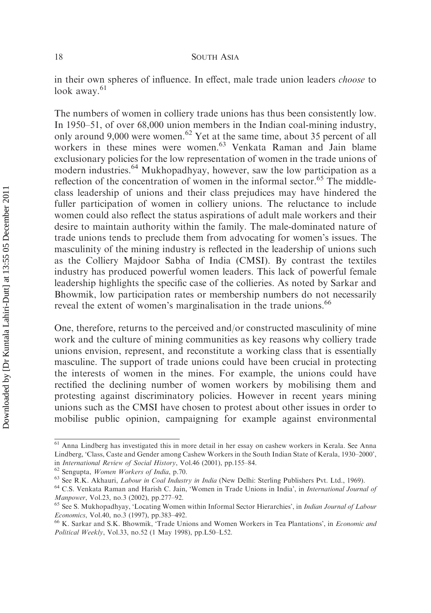in their own spheres of influence. In effect, male trade union leaders choose to look away.<sup>61</sup>

The numbers of women in colliery trade unions has thus been consistently low. In 1950–51, of over 68,000 union members in the Indian coal-mining industry, only around 9,000 were women.<sup>62</sup> Yet at the same time, about 35 percent of all workers in these mines were women.<sup>63</sup> Venkata Raman and Jain blame exclusionary policies for the low representation of women in the trade unions of modern industries.64 Mukhopadhyay, however, saw the low participation as a reflection of the concentration of women in the informal sector.<sup>65</sup> The middleclass leadership of unions and their class prejudices may have hindered the fuller participation of women in colliery unions. The reluctance to include women could also reflect the status aspirations of adult male workers and their desire to maintain authority within the family. The male-dominated nature of trade unions tends to preclude them from advocating for women's issues. The masculinity of the mining industry is reflected in the leadership of unions such as the Colliery Majdoor Sabha of India (CMSI). By contrast the textiles industry has produced powerful women leaders. This lack of powerful female leadership highlights the specific case of the collieries. As noted by Sarkar and Bhowmik, low participation rates or membership numbers do not necessarily reveal the extent of women's marginalisation in the trade unions.<sup>66</sup>

One, therefore, returns to the perceived and/or constructed masculinity of mine work and the culture of mining communities as key reasons why colliery trade unions envision, represent, and reconstitute a working class that is essentially masculine. The support of trade unions could have been crucial in protecting the interests of women in the mines. For example, the unions could have rectified the declining number of women workers by mobilising them and protesting against discriminatory policies. However in recent years mining unions such as the CMSI have chosen to protest about other issues in order to mobilise public opinion, campaigning for example against environmental

<sup>61</sup> Anna Lindberg has investigated this in more detail in her essay on cashew workers in Kerala. See Anna Lindberg, 'Class, Caste and Gender among Cashew Workers in the South Indian State of Kerala, 1930–2000', in International Review of Social History, Vol.46 (2001), pp.155–84.<br>
<sup>62</sup> Sengupta, *Women Workers of India*, p.70.<br>
<sup>63</sup> See R.K. Akhauri, *Labour in Coal Industry in India* (New Delhi: Sterling Publishers Pvt. Ltd., 196

Manpower, Vol.23, no.3 (2002), pp.277–92.<br><sup>65</sup> See S. Mukhopadhyay, 'Locating Women within Informal Sector Hierarchies', in *Indian Journal of Labour* 

Economics, Vol.40, no.3 (1997), pp.383–492.<br><sup>66</sup> K. Sarkar and S.K. Bhowmik, 'Trade Unions and Women Workers in Tea Plantations', in *Economic and* 

Political Weekly, Vol.33, no.52 (1 May 1998), pp.L50–L52.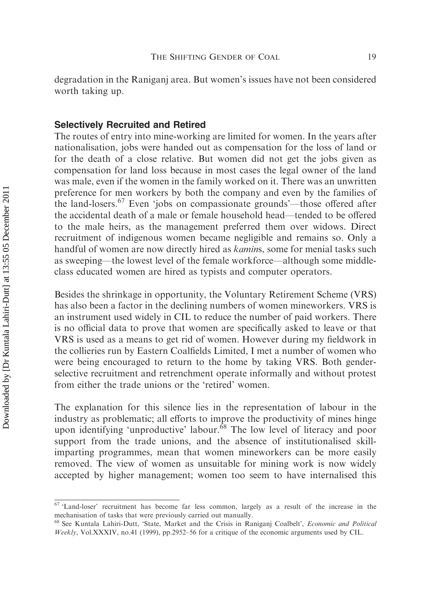degradation in the Raniganj area. But women's issues have not been considered worth taking up.

#### Selectively Recruited and Retired

The routes of entry into mine-working are limited for women. In the years after nationalisation, jobs were handed out as compensation for the loss of land or for the death of a close relative. But women did not get the jobs given as compensation for land loss because in most cases the legal owner of the land was male, even if the women in the family worked on it. There was an unwritten preference for men workers by both the company and even by the families of the land-losers.67 Even 'jobs on compassionate grounds'—those offered after the accidental death of a male or female household head—tended to be offered to the male heirs, as the management preferred them over widows. Direct recruitment of indigenous women became negligible and remains so. Only a handful of women are now directly hired as kamins, some for menial tasks such as sweeping—the lowest level of the female workforce—although some middleclass educated women are hired as typists and computer operators.

Besides the shrinkage in opportunity, the Voluntary Retirement Scheme (VRS) has also been a factor in the declining numbers of women mineworkers. VRS is an instrument used widely in CIL to reduce the number of paid workers. There is no official data to prove that women are specifically asked to leave or that VRS is used as a means to get rid of women. However during my fieldwork in the collieries run by Eastern Coalfields Limited, I met a number of women who were being encouraged to return to the home by taking VRS. Both genderselective recruitment and retrenchment operate informally and without protest from either the trade unions or the 'retired' women.

The explanation for this silence lies in the representation of labour in the industry as problematic; all efforts to improve the productivity of mines hinge upon identifying 'unproductive' labour.<sup>68</sup> The low level of literacy and poor support from the trade unions, and the absence of institutionalised skillimparting programmes, mean that women mineworkers can be more easily removed. The view of women as unsuitable for mining work is now widely accepted by higher management; women too seem to have internalised this

<sup>67</sup> 'Land-loser' recruitment has become far less common, largely as a result of the increase in the mechanisation of tasks that were previously carried out manually.

<sup>68</sup> See Kuntala Lahiri-Dutt, 'State, Market and the Crisis in Raniganj Coalbelt', Economic and Political Weekly, Vol.XXXIV, no.41 (1999), pp.2952–56 for a critique of the economic arguments used by CIL.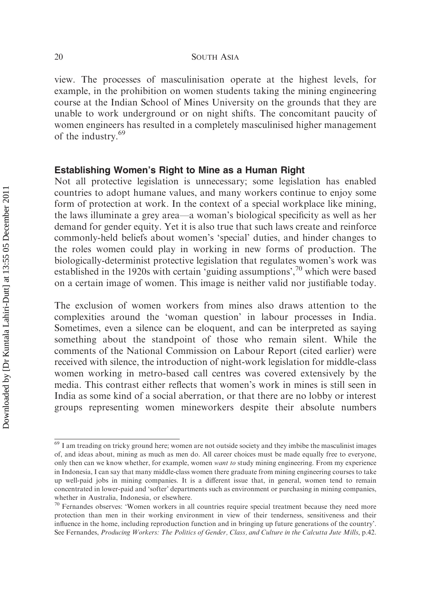view. The processes of masculinisation operate at the highest levels, for example, in the prohibition on women students taking the mining engineering course at the Indian School of Mines University on the grounds that they are unable to work underground or on night shifts. The concomitant paucity of women engineers has resulted in a completely masculinised higher management of the industry.<sup>69</sup>

#### Establishing Women's Right to Mine as a Human Right

Not all protective legislation is unnecessary; some legislation has enabled countries to adopt humane values, and many workers continue to enjoy some form of protection at work. In the context of a special workplace like mining, the laws illuminate a grey area—a woman's biological specificity as well as her demand for gender equity. Yet it is also true that such laws create and reinforce commonly-held beliefs about women's 'special' duties, and hinder changes to the roles women could play in working in new forms of production. The biologically-determinist protective legislation that regulates women's work was established in the 1920s with certain 'guiding assumptions',<sup>70</sup> which were based on a certain image of women. This image is neither valid nor justifiable today.

The exclusion of women workers from mines also draws attention to the complexities around the 'woman question' in labour processes in India. Sometimes, even a silence can be eloquent, and can be interpreted as saying something about the standpoint of those who remain silent. While the comments of the National Commission on Labour Report (cited earlier) were received with silence, the introduction of night-work legislation for middle-class women working in metro-based call centres was covered extensively by the media. This contrast either reflects that women's work in mines is still seen in India as some kind of a social aberration, or that there are no lobby or interest groups representing women mineworkers despite their absolute numbers

<sup>&</sup>lt;sup>69</sup> I am treading on tricky ground here; women are not outside society and they imbibe the masculinist images of, and ideas about, mining as much as men do. All career choices must be made equally free to everyone, only then can we know whether, for example, women *want to* study mining engineering. From my experience in Indonesia, I can say that many middle-class women there graduate from mining engineering courses to take up well-paid jobs in mining companies. It is a different issue that, in general, women tend to remain concentrated in lower-paid and 'softer' departments such as environment or purchasing in mining companies, whether in Australia, Indonesia, or elsewhere.

<sup>&</sup>lt;sup>70</sup> Fernandes observes: 'Women workers in all countries require special treatment because they need more protection than men in their working environment in view of their tenderness, sensitiveness and their influence in the home, including reproduction function and in bringing up future generations of the country'. See Fernandes, Producing Workers: The Politics of Gender, Class, and Culture in the Calcutta Jute Mills, p.42.